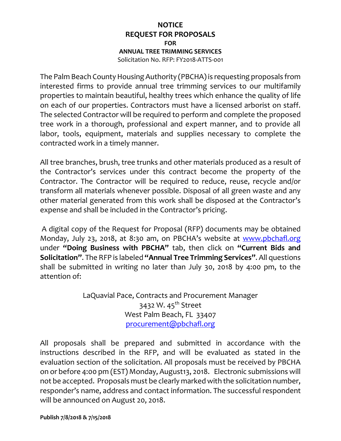## **NOTICE REQUEST FOR PROPOSALS FOR ANNUAL TREE TRIMMING SERVICES** Solicitation No. RFP: FY2018-ATTS-001

The Palm Beach County Housing Authority (PBCHA) is requesting proposals from interested firms to provide annual tree trimming services to our multifamily properties to maintain beautiful, healthy trees which enhance the quality of life on each of our properties. Contractors must have a licensed arborist on staff. The selected Contractor will be required to perform and complete the proposed tree work in a thorough, professional and expert manner, and to provide all labor, tools, equipment, materials and supplies necessary to complete the contracted work in a timely manner.

All tree branches, brush, tree trunks and other materials produced as a result of the Contractor's services under this contract become the property of the Contractor. The Contractor will be required to reduce, reuse, recycle and/or transform all materials whenever possible. Disposal of all green waste and any other material generated from this work shall be disposed at the Contractor's expense and shall be included in the Contractor's pricing.

A digital copy of the Request for Proposal (RFP) documents may be obtained Monday, July 23, 2018, at 8:30 am, on PBCHA's website at [www.pbchafl.org](http://www.pbchafl.org/) under **"Doing Business with PBCHA"** tab, then click on **"Current Bids and Solicitation"**. The RFP is labeled **"Annual Tree Trimming Services"**. All questions shall be submitted in writing no later than July 30, 2018 by 4:00 pm, to the attention of:

> LaQuavial Pace, Contracts and Procurement Manager 3432 W. 45<sup>th</sup> Street West Palm Beach, FL 33407 [procurement@pbchafl.org](mailto:procurement@pbchafl.org)

All proposals shall be prepared and submitted in accordance with the instructions described in the RFP, and will be evaluated as stated in the evaluation section of the solicitation. All proposals must be received by PBCHA on or before 4:00 pm (EST) Monday, August13, 2018. Electronic submissions will not be accepted. Proposals must be clearly marked with the solicitation number, responder's name, address and contact information. The successful respondent will be announced on August 20, 2018.